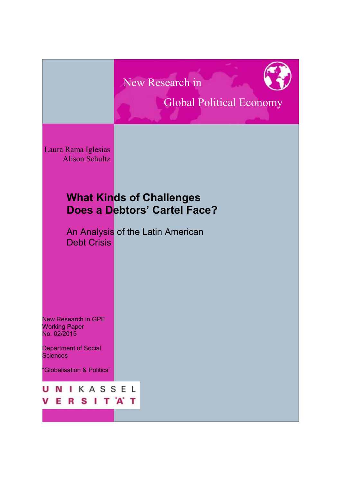# New Research in



# Global Political Economy

Laura Rama Iglesias Alison Schultz

I

## **What Kinds of Challenges Does a Debtors' Cartel Face?**

An Analysis of the Latin American Debt Crisis

New Research in GPE Working Paper No. 02/2015

Department of Social **Sciences** 

"Globalisation & Politics"

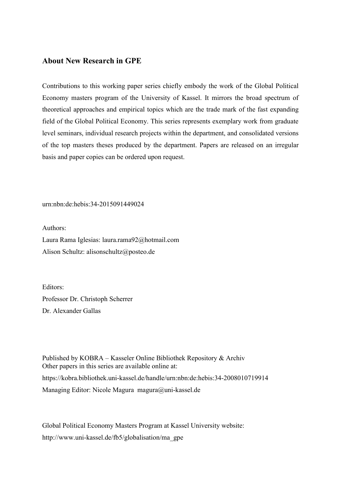### **About New Research in GPE**

Contributions to this working paper series chiefly embody the work of the Global Political Economy masters program of the University of Kassel. It mirrors the broad spectrum of theoretical approaches and empirical topics which are the trade mark of the fast expanding field of the Global Political Economy. This series represents exemplary work from graduate level seminars, individual research projects within the department, and consolidated versions of the top masters theses produced by the department. Papers are released on an irregular basis and paper copies can be ordered upon request.

urn:nbn:de:hebis:34-2015091449024

Authors:

Laura Rama Iglesias: laura.rama92@hotmail.com Alison Schultz: alisonschultz@posteo.de

Editors: Professor Dr. Christoph Scherrer Dr. Alexander Gallas

Published by KOBRA – Kasseler Online Bibliothek Repository & Archiv Other papers in this series are available online at: https://kobra.bibliothek.uni-kassel.de/handle/urn:nbn:de:hebis:34-2008010719914 Managing Editor: Nicole Magura magura@uni-kassel.de

Global Political Economy Masters Program at Kassel University website: http://www.uni-kassel.de/fb5/globalisation/ma\_gpe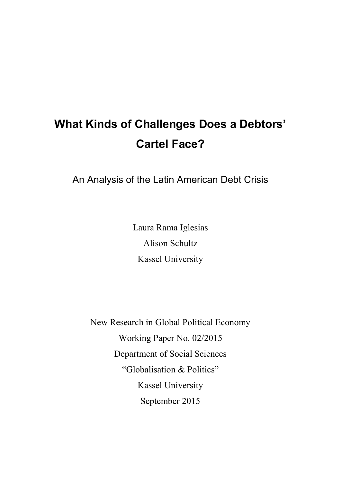# **What Kinds of Challenges Does a Debtors' Cartel Face?**

An Analysis of the Latin American Debt Crisis

Laura Rama Iglesias Alison Schultz Kassel University

New Research in Global Political Economy Working Paper No. 02/2015 Department of Social Sciences "Globalisation & Politics" Kassel University September 2015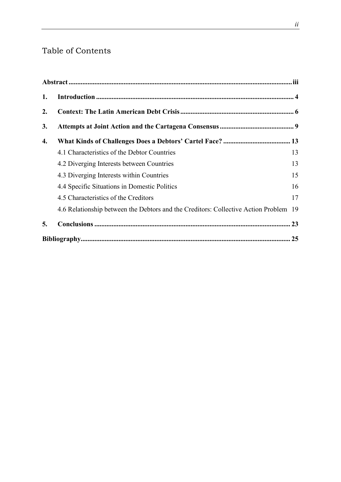## Table of Contents

| 1. |                                                                                      |    |
|----|--------------------------------------------------------------------------------------|----|
| 2. |                                                                                      |    |
| 3. |                                                                                      |    |
| 4. |                                                                                      |    |
|    | 4.1 Characteristics of the Debtor Countries                                          | 13 |
|    | 4.2 Diverging Interests between Countries                                            | 13 |
|    | 4.3 Diverging Interests within Countries                                             | 15 |
|    | 4.4 Specific Situations in Domestic Politics                                         | 16 |
|    | 4.5 Characteristics of the Creditors                                                 | 17 |
|    | 4.6 Relationship between the Debtors and the Creditors: Collective Action Problem 19 |    |
| 5. |                                                                                      |    |
|    |                                                                                      |    |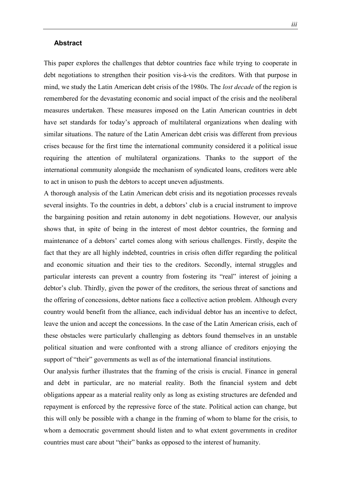#### <span id="page-4-0"></span>**Abstract**

This paper explores the challenges that debtor countries face while trying to cooperate in debt negotiations to strengthen their position vis-à-vis the creditors. With that purpose in mind, we study the Latin American debt crisis of the 1980s. The *lost decade* of the region is remembered for the devastating economic and social impact of the crisis and the neoliberal measures undertaken. These measures imposed on the Latin American countries in debt have set standards for today's approach of multilateral organizations when dealing with similar situations. The nature of the Latin American debt crisis was different from previous crises because for the first time the international community considered it a political issue requiring the attention of multilateral organizations. Thanks to the support of the international community alongside the mechanism of syndicated loans, creditors were able to act in unison to push the debtors to accept uneven adjustments.

A thorough analysis of the Latin American debt crisis and its negotiation processes reveals several insights. To the countries in debt, a debtors' club is a crucial instrument to improve the bargaining position and retain autonomy in debt negotiations. However, our analysis shows that, in spite of being in the interest of most debtor countries, the forming and maintenance of a debtors' cartel comes along with serious challenges. Firstly, despite the fact that they are all highly indebted, countries in crisis often differ regarding the political and economic situation and their ties to the creditors. Secondly, internal struggles and particular interests can prevent a country from fostering its "real" interest of joining a debtor's club. Thirdly, given the power of the creditors, the serious threat of sanctions and the offering of concessions, debtor nations face a collective action problem. Although every country would benefit from the alliance, each individual debtor has an incentive to defect, leave the union and accept the concessions. In the case of the Latin American crisis, each of these obstacles were particularly challenging as debtors found themselves in an unstable political situation and were confronted with a strong alliance of creditors enjoying the support of "their" governments as well as of the international financial institutions.

Our analysis further illustrates that the framing of the crisis is crucial. Finance in general and debt in particular, are no material reality. Both the financial system and debt obligations appear as a material reality only as long as existing structures are defended and repayment is enforced by the repressive force of the state. Political action can change, but this will only be possible with a change in the framing of whom to blame for the crisis, to whom a democratic government should listen and to what extent governments in creditor countries must care about "their" banks as opposed to the interest of humanity.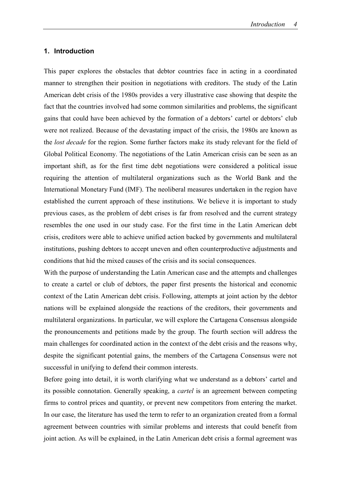#### <span id="page-5-0"></span>**1. Introduction**

This paper explores the obstacles that debtor countries face in acting in a coordinated manner to strengthen their position in negotiations with creditors. The study of the Latin American debt crisis of the 1980s provides a very illustrative case showing that despite the fact that the countries involved had some common similarities and problems, the significant gains that could have been achieved by the formation of a debtors' cartel or debtors' club were not realized. Because of the devastating impact of the crisis, the 1980s are known as the *lost decade* for the region. Some further factors make its study relevant for the field of Global Political Economy. The negotiations of the Latin American crisis can be seen as an important shift, as for the first time debt negotiations were considered a political issue requiring the attention of multilateral organizations such as the World Bank and the International Monetary Fund (IMF). The neoliberal measures undertaken in the region have established the current approach of these institutions. We believe it is important to study previous cases, as the problem of debt crises is far from resolved and the current strategy resembles the one used in our study case. For the first time in the Latin American debt crisis, creditors were able to achieve unified action backed by governments and multilateral institutions, pushing debtors to accept uneven and often counterproductive adjustments and conditions that hid the mixed causes of the crisis and its social consequences.

With the purpose of understanding the Latin American case and the attempts and challenges to create a cartel or club of debtors, the paper first presents the historical and economic context of the Latin American debt crisis. Following, attempts at joint action by the debtor nations will be explained alongside the reactions of the creditors, their governments and multilateral organizations. In particular, we will explore the Cartagena Consensus alongside the pronouncements and petitions made by the group. The fourth section will address the main challenges for coordinated action in the context of the debt crisis and the reasons why, despite the significant potential gains, the members of the Cartagena Consensus were not successful in unifying to defend their common interests.

Before going into detail, it is worth clarifying what we understand as a debtors' cartel and its possible connotation. Generally speaking, a *cartel* is an agreement between competing firms to control prices and quantity, or prevent new competitors from entering the market. In our case, the literature has used the term to refer to an organization created from a formal agreement between countries with similar problems and interests that could benefit from joint action. As will be explained, in the Latin American debt crisis a formal agreement was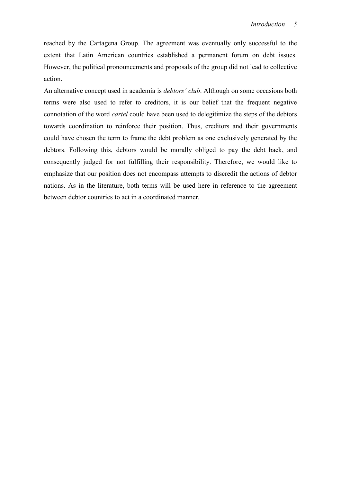reached by the Cartagena Group. The agreement was eventually only successful to the extent that Latin American countries established a permanent forum on debt issues. However, the political pronouncements and proposals of the group did not lead to collective action.

An alternative concept used in academia is *debtors' club*. Although on some occasions both terms were also used to refer to creditors, it is our belief that the frequent negative connotation of the word *cartel* could have been used to delegitimize the steps of the debtors towards coordination to reinforce their position. Thus, creditors and their governments could have chosen the term to frame the debt problem as one exclusively generated by the debtors. Following this, debtors would be morally obliged to pay the debt back, and consequently judged for not fulfilling their responsibility. Therefore, we would like to emphasize that our position does not encompass attempts to discredit the actions of debtor nations. As in the literature, both terms will be used here in reference to the agreement between debtor countries to act in a coordinated manner.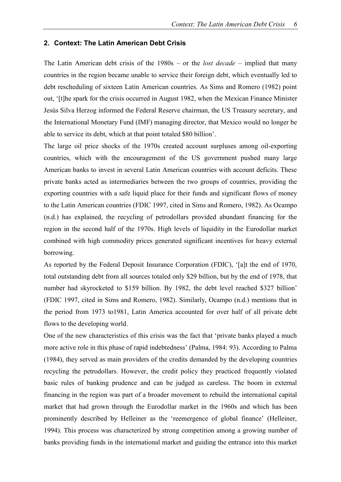#### <span id="page-7-0"></span>**2. Context: The Latin American Debt Crisis**

The Latin American debt crisis of the 1980s – or the *lost decade* – implied that many countries in the region became unable to service their foreign debt, which eventually led to debt rescheduling of sixteen Latin American countries. As Sims and Romero (1982) point out, '[t]he spark for the crisis occurred in August 1982, when the Mexican Finance Minister Jesús Silva Herzog informed the Federal Reserve chairman, the US Treasury secretary, and the International Monetary Fund (IMF) managing director, that Mexico would no longer be able to service its debt, which at that point totaled \$80 billion'.

The large oil price shocks of the 1970s created account surpluses among oil-exporting countries, which with the encouragement of the US government pushed many large American banks to invest in several Latin American countries with account deficits. These private banks acted as intermediaries between the two groups of countries, providing the exporting countries with a safe liquid place for their funds and significant flows of money to the Latin American countries (FDIC 1997, cited in Sims and Romero, 1982). As Ocampo (n.d.) has explained, the recycling of petrodollars provided abundant financing for the region in the second half of the 1970s. High levels of liquidity in the Eurodollar market combined with high commodity prices generated significant incentives for heavy external borrowing.

As reported by the Federal Deposit Insurance Corporation (FDIC), '[a]t the end of 1970, total outstanding debt from all sources totaled only \$29 billion, but by the end of 1978, that number had skyrocketed to \$159 billion. By 1982, the debt level reached \$327 billion' (FDIC 1997, cited in Sims and Romero, 1982). Similarly, Ocampo (n.d.) mentions that in the period from 1973 to1981, Latin America accounted for over half of all private debt flows to the developing world.

One of the new characteristics of this crisis was the fact that 'private banks played a much more active role in this phase of rapid indebtedness' (Palma, 1984: 93). According to Palma (1984), they served as main providers of the credits demanded by the developing countries recycling the petrodollars. However, the credit policy they practiced frequently violated basic rules of banking prudence and can be judged as careless. The boom in external financing in the region was part of a broader movement to rebuild the international capital market that had grown through the Eurodollar market in the 1960s and which has been prominently described by Helleiner as the 'reemergence of global finance' (Helleiner, 1994). This process was characterized by strong competition among a growing number of banks providing funds in the international market and guiding the entrance into this market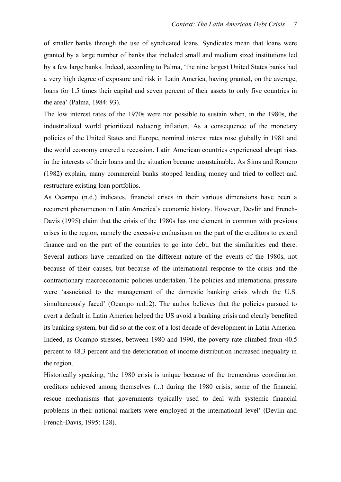of smaller banks through the use of syndicated loans. Syndicates mean that loans were granted by a large number of banks that included small and medium sized institutions led by a few large banks. Indeed, according to Palma, 'the nine largest United States banks had a very high degree of exposure and risk in Latin America, having granted, on the average, loans for 1.5 times their capital and seven percent of their assets to only five countries in the area' (Palma, 1984: 93).

The low interest rates of the 1970s were not possible to sustain when, in the 1980s, the industrialized world prioritized reducing inflation. As a consequence of the monetary policies of the United States and Europe, nominal interest rates rose globally in 1981 and the world economy entered a recession. Latin American countries experienced abrupt rises in the interests of their loans and the situation became unsustainable. As Sims and Romero (1982) explain, many commercial banks stopped lending money and tried to collect and restructure existing loan portfolios.

As Ocampo (n.d.) indicates, financial crises in their various dimensions have been a recurrent phenomenon in Latin America's economic history. However, Devlin and French-Davis (1995) claim that the crisis of the 1980s has one element in common with previous crises in the region, namely the excessive enthusiasm on the part of the creditors to extend finance and on the part of the countries to go into debt, but the similarities end there. Several authors have remarked on the different nature of the events of the 1980s, not because of their causes, but because of the international response to the crisis and the contractionary macroeconomic policies undertaken. The policies and international pressure were 'associated to the management of the domestic banking crisis which the U.S. simultaneously faced' (Ocampo n.d.:2). The author believes that the policies pursued to avert a default in Latin America helped the US avoid a banking crisis and clearly benefited its banking system, but did so at the cost of a lost decade of development in Latin America. Indeed, as Ocampo stresses, between 1980 and 1990, the poverty rate climbed from 40.5 percent to 48.3 percent and the deterioration of income distribution increased inequality in the region.

Historically speaking, 'the 1980 crisis is unique because of the tremendous coordination creditors achieved among themselves (...) during the 1980 crisis, some of the financial rescue mechanisms that governments typically used to deal with systemic financial problems in their national markets were employed at the international level' (Devlin and French-Davis, 1995: 128).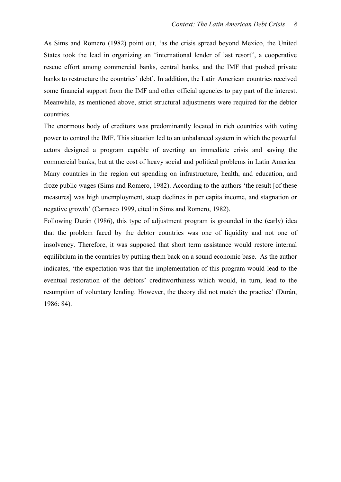As Sims and Romero (1982) point out, 'as the crisis spread beyond Mexico, the United States took the lead in organizing an "international lender of last resort", a cooperative rescue effort among commercial banks, central banks, and the IMF that pushed private banks to restructure the countries' debt'. In addition, the Latin American countries received some financial support from the IMF and other official agencies to pay part of the interest. Meanwhile, as mentioned above, strict structural adjustments were required for the debtor countries.

The enormous body of creditors was predominantly located in rich countries with voting power to control the IMF. This situation led to an unbalanced system in which the powerful actors designed a program capable of averting an immediate crisis and saving the commercial banks, but at the cost of heavy social and political problems in Latin America. Many countries in the region cut spending on infrastructure, health, and education, and froze public wages (Sims and Romero, 1982). According to the authors 'the result [of these measures] was high unemployment, steep declines in per capita income, and stagnation or negative growth' (Carrasco 1999, cited in Sims and Romero, 1982).

Following Durán (1986), this type of adjustment program is grounded in the (early) idea that the problem faced by the debtor countries was one of liquidity and not one of insolvency. Therefore, it was supposed that short term assistance would restore internal equilibrium in the countries by putting them back on a sound economic base. As the author indicates, 'the expectation was that the implementation of this program would lead to the eventual restoration of the debtors' creditworthiness which would, in turn, lead to the resumption of voluntary lending. However, the theory did not match the practice' (Durán, 1986: 84).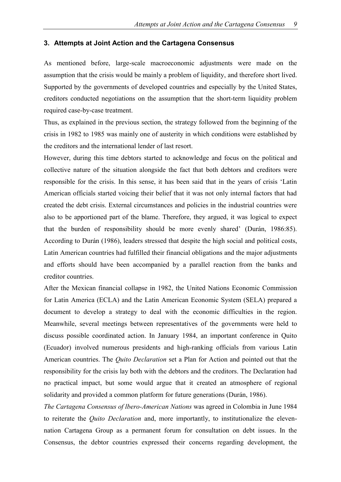#### <span id="page-10-0"></span>**3. Attempts at Joint Action and the Cartagena Consensus**

As mentioned before, large-scale macroeconomic adjustments were made on the assumption that the crisis would be mainly a problem of liquidity, and therefore short lived. Supported by the governments of developed countries and especially by the United States, creditors conducted negotiations on the assumption that the short-term liquidity problem required case-by-case treatment.

Thus, as explained in the previous section, the strategy followed from the beginning of the crisis in 1982 to 1985 was mainly one of austerity in which conditions were established by the creditors and the international lender of last resort.

However, during this time debtors started to acknowledge and focus on the political and collective nature of the situation alongside the fact that both debtors and creditors were responsible for the crisis. In this sense, it has been said that in the years of crisis 'Latin American officials started voicing their belief that it was not only internal factors that had created the debt crisis. External circumstances and policies in the industrial countries were also to be apportioned part of the blame. Therefore, they argued, it was logical to expect that the burden of responsibility should be more evenly shared' (Durán, 1986:85). According to Durán (1986), leaders stressed that despite the high social and political costs, Latin American countries had fulfilled their financial obligations and the major adjustments and efforts should have been accompanied by a parallel reaction from the banks and creditor countries.

After the Mexican financial collapse in 1982, the United Nations Economic Commission for Latin America (ECLA) and the Latin American Economic System (SELA) prepared a document to develop a strategy to deal with the economic difficulties in the region. Meanwhile, several meetings between representatives of the governments were held to discuss possible coordinated action. In January 1984, an important conference in Quito (Ecuador) involved numerous presidents and high-ranking officials from various Latin American countries. The *Quito Declaration* set a Plan for Action and pointed out that the responsibility for the crisis lay both with the debtors and the creditors. The Declaration had no practical impact, but some would argue that it created an atmosphere of regional solidarity and provided a common platform for future generations (Durán, 1986).

*The Cartagena Consensus of lbero-American Nations* was agreed in Colombia in June 1984 to reiterate the *Quito Declaration* and, more importantly, to institutionalize the elevennation Cartagena Group as a permanent forum for consultation on debt issues. In the Consensus, the debtor countries expressed their concerns regarding development, the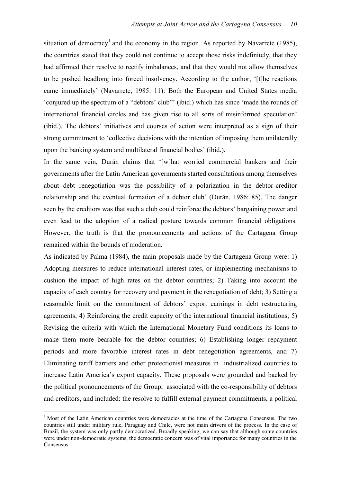situation of democracy<sup>1</sup> and the economy in the region. As reported by Navarrete (1985), the countries stated that they could not continue to accept those risks indefinitely, that they had affirmed their resolve to rectify imbalances, and that they would not allow themselves to be pushed headlong into forced insolvency. According to the author, '[t]he reactions came immediately' (Navarrete, 1985: 11): Both the European and United States media 'conjured up the spectrum of a "debtors' club"' (ibid.) which has since 'made the rounds of international financial circles and has given rise to all sorts of misinformed speculation' (ibid.). The debtors' initiatives and courses of action were interpreted as a sign of their strong commitment to 'collective decisions with the intention of imposing them unilaterally upon the banking system and multilateral financial bodies' (ibid.).

In the same vein, Durán claims that '[w]hat worried commercial bankers and their governments after the Latin American governments started consultations among themselves about debt renegotiation was the possibility of a polarization in the debtor-creditor relationship and the eventual formation of a debtor club' (Durán, 1986: 85). The danger seen by the creditors was that such a club could reinforce the debtors' bargaining power and even lead to the adoption of a radical posture towards common financial obligations. However, the truth is that the pronouncements and actions of the Cartagena Group remained within the bounds of moderation.

As indicated by Palma (1984), the main proposals made by the Cartagena Group were: 1) Adopting measures to reduce international interest rates, or implementing mechanisms to cushion the impact of high rates on the debtor countries; 2) Taking into account the capacity of each country for recovery and payment in the renegotiation of debt; 3) Setting a reasonable limit on the commitment of debtors' export earnings in debt restructuring agreements; 4) Reinforcing the credit capacity of the international financial institutions; 5) Revising the criteria with which the International Monetary Fund conditions its loans to make them more bearable for the debtor countries; 6) Establishing longer repayment periods and more favorable interest rates in debt renegotiation agreements, and 7) Eliminating tariff barriers and other protectionist measures in industrialized countries to increase Latin America's export capacity. These proposals were grounded and backed by the political pronouncements of the Group, associated with the co-responsibility of debtors and creditors, and included: the resolve to fulfill external payment commitments, a political

 $\overline{a}$ 

<sup>&</sup>lt;sup>1</sup> Most of the Latin American countries were democracies at the time of the Cartagena Consensus. The two countries still under military rule, Paraguay and Chile, were not main drivers of the process. In the case of Brazil, the system was only partly democratized. Broadly speaking, we can say that although some countries were under non-democratic systems, the democratic concern was of vital importance for many countries in the Consensus.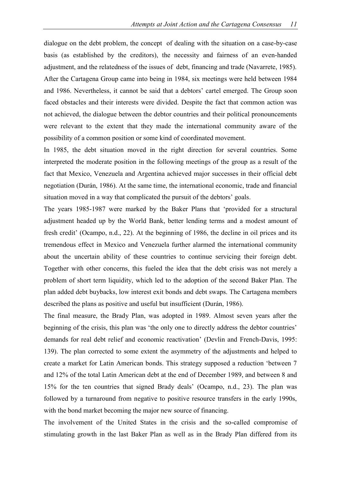dialogue on the debt problem, the concept of dealing with the situation on a case-by-case basis (as established by the creditors), the necessity and fairness of an even-handed adjustment, and the relatedness of the issues of debt, financing and trade (Navarrete, 1985). After the Cartagena Group came into being in 1984, six meetings were held between 1984 and 1986. Nevertheless, it cannot be said that a debtors' cartel emerged. The Group soon faced obstacles and their interests were divided. Despite the fact that common action was not achieved, the dialogue between the debtor countries and their political pronouncements were relevant to the extent that they made the international community aware of the possibility of a common position or some kind of coordinated movement.

In 1985, the debt situation moved in the right direction for several countries. Some interpreted the moderate position in the following meetings of the group as a result of the fact that Mexico, Venezuela and Argentina achieved major successes in their official debt negotiation (Durán, 1986). At the same time, the international economic, trade and financial situation moved in a way that complicated the pursuit of the debtors' goals.

The years 1985-1987 were marked by the Baker Plans that 'provided for a structural adjustment headed up by the World Bank, better lending terms and a modest amount of fresh credit' (Ocampo, n.d., 22). At the beginning of 1986, the decline in oil prices and its tremendous effect in Mexico and Venezuela further alarmed the international community about the uncertain ability of these countries to continue servicing their foreign debt. Together with other concerns, this fueled the idea that the debt crisis was not merely a problem of short term liquidity, which led to the adoption of the second Baker Plan. The plan added debt buybacks, low interest exit bonds and debt swaps. The Cartagena members described the plans as positive and useful but insufficient (Durán, 1986).

The final measure, the Brady Plan, was adopted in 1989. Almost seven years after the beginning of the crisis, this plan was 'the only one to directly address the debtor countries' demands for real debt relief and economic reactivation' (Devlin and French-Davis, 1995: 139). The plan corrected to some extent the asymmetry of the adjustments and helped to create a market for Latin American bonds. This strategy supposed a reduction 'between 7 and 12% of the total Latin American debt at the end of December 1989, and between 8 and 15% for the ten countries that signed Brady deals' (Ocampo, n.d., 23). The plan was followed by a turnaround from negative to positive resource transfers in the early 1990s, with the bond market becoming the major new source of financing.

The involvement of the United States in the crisis and the so-called compromise of stimulating growth in the last Baker Plan as well as in the Brady Plan differed from its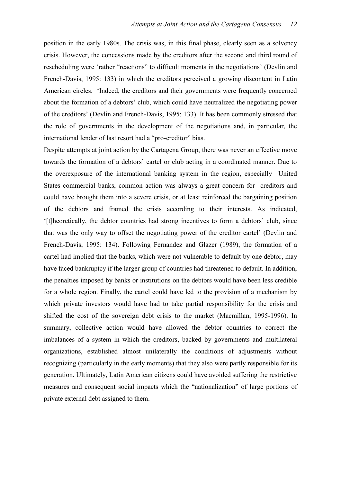position in the early 1980s. The crisis was, in this final phase, clearly seen as a solvency crisis. However, the concessions made by the creditors after the second and third round of rescheduling were 'rather "reactions" to difficult moments in the negotiations' (Devlin and French-Davis, 1995: 133) in which the creditors perceived a growing discontent in Latin American circles. 'Indeed, the creditors and their governments were frequently concerned about the formation of a debtors' club, which could have neutralized the negotiating power of the creditors' (Devlin and French-Davis, 1995: 133). It has been commonly stressed that the role of governments in the development of the negotiations and, in particular, the international lender of last resort had a "pro-creditor" bias.

Despite attempts at joint action by the Cartagena Group, there was never an effective move towards the formation of a debtors' cartel or club acting in a coordinated manner. Due to the overexposure of the international banking system in the region, especially United States commercial banks, common action was always a great concern for creditors and could have brought them into a severe crisis, or at least reinforced the bargaining position of the debtors and framed the crisis according to their interests. As indicated, '[t]heoretically, the debtor countries had strong incentives to form a debtors' club, since that was the only way to offset the negotiating power of the creditor cartel' (Devlin and French-Davis, 1995: 134). Following Fernandez and Glazer (1989), the formation of a cartel had implied that the banks, which were not vulnerable to default by one debtor, may have faced bankruptcy if the larger group of countries had threatened to default. In addition, the penalties imposed by banks or institutions on the debtors would have been less credible for a whole region. Finally, the cartel could have led to the provision of a mechanism by which private investors would have had to take partial responsibility for the crisis and shifted the cost of the sovereign debt crisis to the market (Macmillan, 1995-1996). In summary, collective action would have allowed the debtor countries to correct the imbalances of a system in which the creditors, backed by governments and multilateral organizations, established almost unilaterally the conditions of adjustments without recognizing (particularly in the early moments) that they also were partly responsible for its generation. Ultimately, Latin American citizens could have avoided suffering the restrictive measures and consequent social impacts which the "nationalization" of large portions of private external debt assigned to them.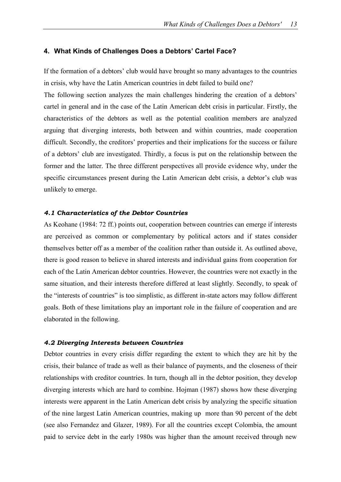#### <span id="page-14-0"></span>**4. What Kinds of Challenges Does a Debtors' Cartel Face?**

If the formation of a debtors' club would have brought so many advantages to the countries in crisis, why have the Latin American countries in debt failed to build one?

The following section analyzes the main challenges hindering the creation of a debtors' cartel in general and in the case of the Latin American debt crisis in particular. Firstly, the characteristics of the debtors as well as the potential coalition members are analyzed arguing that diverging interests, both between and within countries, made cooperation difficult. Secondly, the creditors' properties and their implications for the success or failure of a debtors' club are investigated. Thirdly, a focus is put on the relationship between the former and the latter. The three different perspectives all provide evidence why, under the specific circumstances present during the Latin American debt crisis, a debtor's club was unlikely to emerge.

#### <span id="page-14-1"></span>*4.1 Characteristics of the Debtor Countries*

As Keohane (1984: 72 ff.) points out, cooperation between countries can emerge if interests are perceived as common or complementary by political actors and if states consider themselves better off as a member of the coalition rather than outside it. As outlined above, there is good reason to believe in shared interests and individual gains from cooperation for each of the Latin American debtor countries. However, the countries were not exactly in the same situation, and their interests therefore differed at least slightly. Secondly, to speak of the "interests of countries" is too simplistic, as different in-state actors may follow different goals. Both of these limitations play an important role in the failure of cooperation and are elaborated in the following.

#### <span id="page-14-2"></span>*4.2 Diverging Interests between Countries*

Debtor countries in every crisis differ regarding the extent to which they are hit by the crisis, their balance of trade as well as their balance of payments, and the closeness of their relationships with creditor countries. In turn, though all in the debtor position, they develop diverging interests which are hard to combine. Hojman (1987) shows how these diverging interests were apparent in the Latin American debt crisis by analyzing the specific situation of the nine largest Latin American countries, making up more than 90 percent of the debt (see also Fernandez and Glazer, 1989). For all the countries except Colombia, the amount paid to service debt in the early 1980s was higher than the amount received through new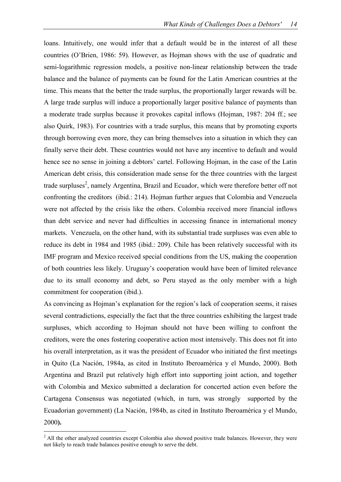loans. Intuitively, one would infer that a default would be in the interest of all these countries (O'Brien, 1986: 59). However, as Hojman shows with the use of quadratic and semi-logarithmic regression models, a positive non-linear relationship between the trade balance and the balance of payments can be found for the Latin American countries at the time. This means that the better the trade surplus, the proportionally larger rewards will be. A large trade surplus will induce a proportionally larger positive balance of payments than a moderate trade surplus because it provokes capital inflows (Hojman, 1987: 204 ff.; see also Quirk, 1983). For countries with a trade surplus, this means that by promoting exports through borrowing even more, they can bring themselves into a situation in which they can finally serve their debt. These countries would not have any incentive to default and would hence see no sense in joining a debtors' cartel. Following Hojman, in the case of the Latin American debt crisis, this consideration made sense for the three countries with the largest trade surpluses<sup>2</sup>, namely Argentina, Brazil and Ecuador, which were therefore better off not confronting the creditors (ibid.: 214). Hojman further argues that Colombia and Venezuela were not affected by the crisis like the others. Colombia received more financial inflows than debt service and never had difficulties in accessing finance in international money markets. Venezuela, on the other hand, with its substantial trade surpluses was even able to reduce its debt in 1984 and 1985 (ibid.: 209). Chile has been relatively successful with its IMF program and Mexico received special conditions from the US, making the cooperation of both countries less likely. Uruguay's cooperation would have been of limited relevance due to its small economy and debt, so Peru stayed as the only member with a high commitment for cooperation (ibid.).

As convincing as Hojman's explanation for the region's lack of cooperation seems, it raises several contradictions, especially the fact that the three countries exhibiting the largest trade surpluses, which according to Hojman should not have been willing to confront the creditors, were the ones fostering cooperative action most intensively. This does not fit into his overall interpretation, as it was the president of Ecuador who initiated the first meetings in Quito (La Nación, 1984a, as cited in Instituto Iberoamérica y el Mundo, 2000). Both Argentina and Brazil put relatively high effort into supporting joint action, and together with Colombia and Mexico submitted a declaration for concerted action even before the Cartagena Consensus was negotiated (which, in turn, was strongly supported by the Ecuadorian government) (La Nación, 1984b, as cited in Instituto Iberoamérica y el Mundo, 2000**).**

 $\overline{a}$ 

<sup>&</sup>lt;sup>2</sup> All the other analyzed countries except Colombia also showed positive trade balances. However, they were not likely to reach trade balances positive enough to serve the debt.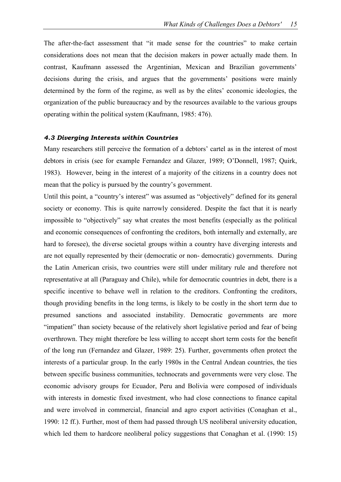The after-the-fact assessment that "it made sense for the countries" to make certain considerations does not mean that the decision makers in power actually made them. In contrast, Kaufmann assessed the Argentinian, Mexican and Brazilian governments' decisions during the crisis, and argues that the governments' positions were mainly determined by the form of the regime, as well as by the elites' economic ideologies, the organization of the public bureaucracy and by the resources available to the various groups operating within the political system (Kaufmann, 1985: 476).

#### <span id="page-16-0"></span>*4.3 Diverging Interests within Countries*

Many researchers still perceive the formation of a debtors' cartel as in the interest of most debtors in crisis (see for example Fernandez and Glazer, 1989; O'Donnell, 1987; Quirk, 1983). However, being in the interest of a majority of the citizens in a country does not mean that the policy is pursued by the country's government.

Until this point, a "country's interest" was assumed as "objectively" defined for its general society or economy. This is quite narrowly considered. Despite the fact that it is nearly impossible to "objectively" say what creates the most benefits (especially as the political and economic consequences of confronting the creditors, both internally and externally, are hard to foresee), the diverse societal groups within a country have diverging interests and are not equally represented by their (democratic or non- democratic) governments. During the Latin American crisis, two countries were still under military rule and therefore not representative at all (Paraguay and Chile), while for democratic countries in debt, there is a specific incentive to behave well in relation to the creditors. Confronting the creditors, though providing benefits in the long terms, is likely to be costly in the short term due to presumed sanctions and associated instability. Democratic governments are more "impatient" than society because of the relatively short legislative period and fear of being overthrown. They might therefore be less willing to accept short term costs for the benefit of the long run (Fernandez and Glazer, 1989: 25). Further, governments often protect the interests of a particular group. In the early 1980s in the Central Andean countries, the ties between specific business communities, technocrats and governments were very close. The economic advisory groups for Ecuador, Peru and Bolivia were composed of individuals with interests in domestic fixed investment, who had close connections to finance capital and were involved in commercial, financial and agro export activities (Conaghan et al., 1990: 12 ff.). Further, most of them had passed through US neoliberal university education, which led them to hardcore neoliberal policy suggestions that Conaghan et al. (1990: 15)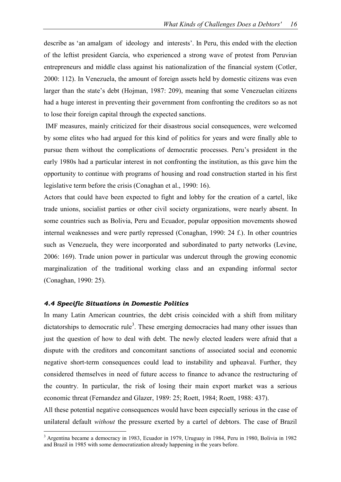describe as 'an amalgam of ideology and interests'. In Peru, this ended with the election of the leftist president García, who experienced a strong wave of protest from Peruvian entrepreneurs and middle class against his nationalization of the financial system (Cotler, 2000: 112). In Venezuela, the amount of foreign assets held by domestic citizens was even larger than the state's debt (Hojman, 1987: 209), meaning that some Venezuelan citizens had a huge interest in preventing their government from confronting the creditors so as not to lose their foreign capital through the expected sanctions.

 IMF measures, mainly criticized for their disastrous social consequences, were welcomed by some elites who had argued for this kind of politics for years and were finally able to pursue them without the complications of democratic processes. Peru's president in the early 1980s had a particular interest in not confronting the institution, as this gave him the opportunity to continue with programs of housing and road construction started in his first legislative term before the crisis (Conaghan et al., 1990: 16).

Actors that could have been expected to fight and lobby for the creation of a cartel, like trade unions, socialist parties or other civil society organizations, were nearly absent. In some countries such as Bolivia, Peru and Ecuador, popular opposition movements showed internal weaknesses and were partly repressed (Conaghan, 1990: 24 f.). In other countries such as Venezuela, they were incorporated and subordinated to party networks (Levine, 2006: 169). Trade union power in particular was undercut through the growing economic marginalization of the traditional working class and an expanding informal sector (Conaghan, 1990: 25).

### <span id="page-17-0"></span>*4.4 Specific Situations in Domestic Politics*

 $\overline{a}$ 

In many Latin American countries, the debt crisis coincided with a shift from military dictatorships to democratic rule<sup>3</sup>. These emerging democracies had many other issues than just the question of how to deal with debt. The newly elected leaders were afraid that a dispute with the creditors and concomitant sanctions of associated social and economic negative short-term consequences could lead to instability and upheaval. Further, they considered themselves in need of future access to finance to advance the restructuring of the country. In particular, the risk of losing their main export market was a serious economic threat (Fernandez and Glazer, 1989: 25; Roett, 1984; Roett, 1988: 437).

All these potential negative consequences would have been especially serious in the case of unilateral default *without* the pressure exerted by a cartel of debtors. The case of Brazil

<sup>3</sup> Argentina became a democracy in 1983, Ecuador in 1979, Uruguay in 1984, Peru in 1980, Bolivia in 1982 and Brazil in 1985 with some democratization already happening in the years before.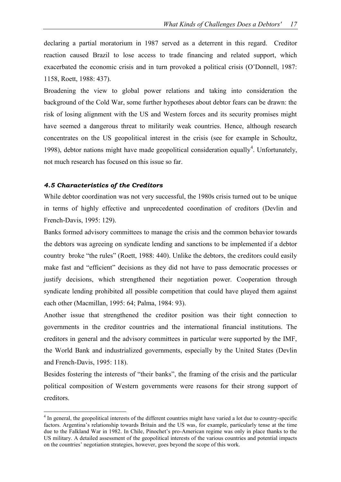declaring a partial moratorium in 1987 served as a deterrent in this regard. Creditor reaction caused Brazil to lose access to trade financing and related support, which exacerbated the economic crisis and in turn provoked a political crisis (O'Donnell, 1987: 1158, Roett, 1988: 437).

Broadening the view to global power relations and taking into consideration the background of the Cold War, some further hypotheses about debtor fears can be drawn: the risk of losing alignment with the US and Western forces and its security promises might have seemed a dangerous threat to militarily weak countries. Hence, although research concentrates on the US geopolitical interest in the crisis (see for example in Schoultz, 1998), debtor nations might have made geopolitical consideration equally<sup>4</sup>. Unfortunately, not much research has focused on this issue so far.

#### <span id="page-18-0"></span>*4.5 Characteristics of the Creditors*

 $\overline{a}$ 

While debtor coordination was not very successful, the 1980s crisis turned out to be unique in terms of highly effective and unprecedented coordination of creditors (Devlin and French-Davis, 1995: 129).

Banks formed advisory committees to manage the crisis and the common behavior towards the debtors was agreeing on syndicate lending and sanctions to be implemented if a debtor country broke "the rules" (Roett, 1988: 440). Unlike the debtors, the creditors could easily make fast and "efficient" decisions as they did not have to pass democratic processes or justify decisions, which strengthened their negotiation power. Cooperation through syndicate lending prohibited all possible competition that could have played them against each other (Macmillan, 1995: 64; Palma, 1984: 93).

Another issue that strengthened the creditor position was their tight connection to governments in the creditor countries and the international financial institutions. The creditors in general and the advisory committees in particular were supported by the IMF, the World Bank and industrialized governments, especially by the United States (Devlin and French-Davis, 1995: 118).

Besides fostering the interests of "their banks", the framing of the crisis and the particular political composition of Western governments were reasons for their strong support of creditors.

<sup>&</sup>lt;sup>4</sup> In general, the geopolitical interests of the different countries might have varied a lot due to country-specific factors. Argentina's relationship towards Britain and the US was, for example, particularly tense at the time due to the Falkland War in 1982. In Chile, Pinochet's pro-American regime was only in place thanks to the US military. A detailed assessment of the geopolitical interests of the various countries and potential impacts on the countries' negotiation strategies, however, goes beyond the scope of this work.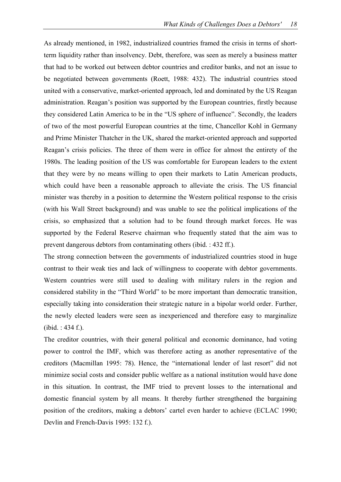As already mentioned, in 1982, industrialized countries framed the crisis in terms of shortterm liquidity rather than insolvency. Debt, therefore, was seen as merely a business matter that had to be worked out between debtor countries and creditor banks, and not an issue to be negotiated between governments (Roett, 1988: 432). The industrial countries stood united with a conservative, market-oriented approach, led and dominated by the US Reagan administration. Reagan's position was supported by the European countries, firstly because they considered Latin America to be in the "US sphere of influence". Secondly, the leaders of two of the most powerful European countries at the time, Chancellor Kohl in Germany and Prime Minister Thatcher in the UK, shared the market-oriented approach and supported Reagan's crisis policies. The three of them were in office for almost the entirety of the 1980s. The leading position of the US was comfortable for European leaders to the extent that they were by no means willing to open their markets to Latin American products, which could have been a reasonable approach to alleviate the crisis. The US financial minister was thereby in a position to determine the Western political response to the crisis (with his Wall Street background) and was unable to see the political implications of the crisis, so emphasized that a solution had to be found through market forces. He was supported by the Federal Reserve chairman who frequently stated that the aim was to prevent dangerous debtors from contaminating others (ibid. : 432 ff.).

The strong connection between the governments of industrialized countries stood in huge contrast to their weak ties and lack of willingness to cooperate with debtor governments. Western countries were still used to dealing with military rulers in the region and considered stability in the "Third World" to be more important than democratic transition, especially taking into consideration their strategic nature in a bipolar world order. Further, the newly elected leaders were seen as inexperienced and therefore easy to marginalize (ibid. : 434 f.).

The creditor countries, with their general political and economic dominance, had voting power to control the IMF, which was therefore acting as another representative of the creditors (Macmillan 1995: 78). Hence, the "international lender of last resort" did not minimize social costs and consider public welfare as a national institution would have done in this situation. In contrast, the IMF tried to prevent losses to the international and domestic financial system by all means. It thereby further strengthened the bargaining position of the creditors, making a debtors' cartel even harder to achieve (ECLAC 1990; Devlin and French-Davis 1995: 132 f.).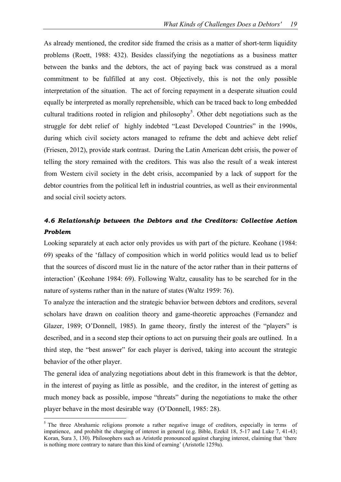As already mentioned, the creditor side framed the crisis as a matter of short-term liquidity problems (Roett, 1988: 432). Besides classifying the negotiations as a business matter between the banks and the debtors, the act of paying back was construed as a moral commitment to be fulfilled at any cost. Objectively, this is not the only possible interpretation of the situation. The act of forcing repayment in a desperate situation could equally be interpreted as morally reprehensible, which can be traced back to long embedded cultural traditions rooted in religion and philosophy<sup>5</sup>. Other debt negotiations such as the struggle for debt relief of highly indebted "Least Developed Countries" in the 1990s, during which civil society actors managed to reframe the debt and achieve debt relief (Friesen, 2012), provide stark contrast. During the Latin American debt crisis, the power of telling the story remained with the creditors. This was also the result of a weak interest from Western civil society in the debt crisis, accompanied by a lack of support for the debtor countries from the political left in industrial countries, as well as their environmental and social civil society actors.

### <span id="page-20-0"></span>*4.6 Relationship between the Debtors and the Creditors: Collective Action Problem*

Looking separately at each actor only provides us with part of the picture. Keohane (1984: 69) speaks of the 'fallacy of composition which in world politics would lead us to belief that the sources of discord must lie in the nature of the actor rather than in their patterns of interaction' (Keohane 1984: 69). Following Waltz, causality has to be searched for in the nature of systems rather than in the nature of states (Waltz 1959: 76).

To analyze the interaction and the strategic behavior between debtors and creditors, several scholars have drawn on coalition theory and game-theoretic approaches (Fernandez and Glazer, 1989; O'Donnell, 1985). In game theory, firstly the interest of the "players" is described, and in a second step their options to act on pursuing their goals are outlined. In a third step, the "best answer" for each player is derived, taking into account the strategic behavior of the other player.

The general idea of analyzing negotiations about debt in this framework is that the debtor, in the interest of paying as little as possible, and the creditor, in the interest of getting as much money back as possible, impose "threats" during the negotiations to make the other player behave in the most desirable way (O'Donnell, 1985: 28).

 $\overline{a}$ 

<sup>&</sup>lt;sup>5</sup> The three Abrahamic religions promote a rather negative image of creditors, especially in terms of impatience, and prohibit the charging of interest in general (e.g. Bible, Ezekil 18, 5-17 and Luke 7, 41-43; Koran, Sura 3, 130). Philosophers such as Aristotle pronounced against charging interest, claiming that 'there is nothing more contrary to nature than this kind of earning' (Aristotle 1259a).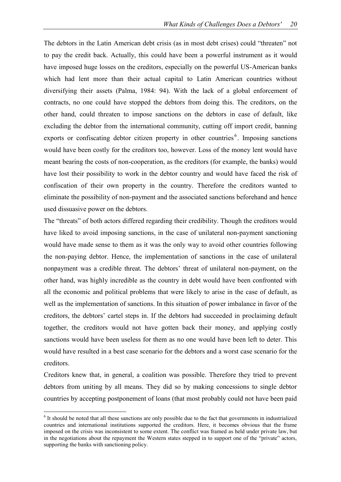The debtors in the Latin American debt crisis (as in most debt crises) could "threaten" not to pay the credit back. Actually, this could have been a powerful instrument as it would have imposed huge losses on the creditors, especially on the powerful US-American banks which had lent more than their actual capital to Latin American countries without diversifying their assets (Palma, 1984: 94). With the lack of a global enforcement of contracts, no one could have stopped the debtors from doing this. The creditors, on the other hand, could threaten to impose sanctions on the debtors in case of default, like excluding the debtor from the international community, cutting off import credit, banning exports or confiscating debtor citizen property in other countries<sup>6</sup>. Imposing sanctions would have been costly for the creditors too, however. Loss of the money lent would have meant bearing the costs of non-cooperation, as the creditors (for example, the banks) would have lost their possibility to work in the debtor country and would have faced the risk of confiscation of their own property in the country. Therefore the creditors wanted to eliminate the possibility of non-payment and the associated sanctions beforehand and hence used dissuasive power on the debtors.

The "threats" of both actors differed regarding their credibility. Though the creditors would have liked to avoid imposing sanctions, in the case of unilateral non-payment sanctioning would have made sense to them as it was the only way to avoid other countries following the non-paying debtor. Hence, the implementation of sanctions in the case of unilateral nonpayment was a credible threat. The debtors' threat of unilateral non-payment, on the other hand, was highly incredible as the country in debt would have been confronted with all the economic and political problems that were likely to arise in the case of default, as well as the implementation of sanctions. In this situation of power imbalance in favor of the creditors, the debtors' cartel steps in. If the debtors had succeeded in proclaiming default together, the creditors would not have gotten back their money, and applying costly sanctions would have been useless for them as no one would have been left to deter. This would have resulted in a best case scenario for the debtors and a worst case scenario for the creditors.

Creditors knew that, in general, a coalition was possible. Therefore they tried to prevent debtors from uniting by all means. They did so by making concessions to single debtor countries by accepting postponement of loans (that most probably could not have been paid

 $\overline{a}$ 

<sup>&</sup>lt;sup>6</sup> It should be noted that all these sanctions are only possible due to the fact that governments in industrialized countries and international institutions supported the creditors. Here, it becomes obvious that the frame imposed on the crisis was inconsistent to some extent. The conflict was framed as held under private law, but in the negotiations about the repayment the Western states stepped in to support one of the "private" actors, supporting the banks with sanctioning policy.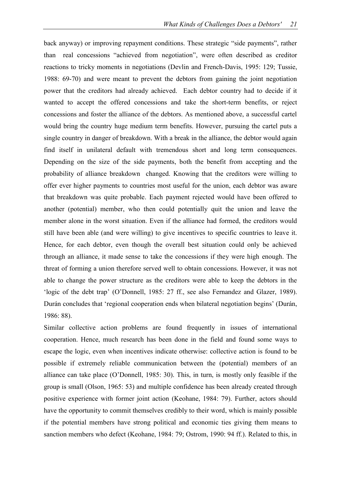back anyway) or improving repayment conditions. These strategic "side payments", rather than real concessions "achieved from negotiation", were often described as creditor reactions to tricky moments in negotiations (Devlin and French-Davis, 1995: 129; Tussie, 1988: 69-70) and were meant to prevent the debtors from gaining the joint negotiation power that the creditors had already achieved. Each debtor country had to decide if it wanted to accept the offered concessions and take the short-term benefits, or reject concessions and foster the alliance of the debtors. As mentioned above, a successful cartel would bring the country huge medium term benefits. However, pursuing the cartel puts a single country in danger of breakdown. With a break in the alliance, the debtor would again find itself in unilateral default with tremendous short and long term consequences. Depending on the size of the side payments, both the benefit from accepting and the probability of alliance breakdown changed. Knowing that the creditors were willing to offer ever higher payments to countries most useful for the union, each debtor was aware that breakdown was quite probable. Each payment rejected would have been offered to another (potential) member, who then could potentially quit the union and leave the member alone in the worst situation. Even if the alliance had formed, the creditors would still have been able (and were willing) to give incentives to specific countries to leave it. Hence, for each debtor, even though the overall best situation could only be achieved through an alliance, it made sense to take the concessions if they were high enough. The threat of forming a union therefore served well to obtain concessions. However, it was not able to change the power structure as the creditors were able to keep the debtors in the 'logic of the debt trap' (O'Donnell, 1985: 27 ff., see also Fernandez and Glazer, 1989). Durán concludes that 'regional cooperation ends when bilateral negotiation begins' (Durán, 1986: 88).

Similar collective action problems are found frequently in issues of international cooperation. Hence, much research has been done in the field and found some ways to escape the logic, even when incentives indicate otherwise: collective action is found to be possible if extremely reliable communication between the (potential) members of an alliance can take place (O'Donnell, 1985: 30). This, in turn, is mostly only feasible if the group is small (Olson, 1965: 53) and multiple confidence has been already created through positive experience with former joint action (Keohane, 1984: 79). Further, actors should have the opportunity to commit themselves credibly to their word, which is mainly possible if the potential members have strong political and economic ties giving them means to sanction members who defect (Keohane, 1984: 79; Ostrom, 1990: 94 ff.). Related to this, in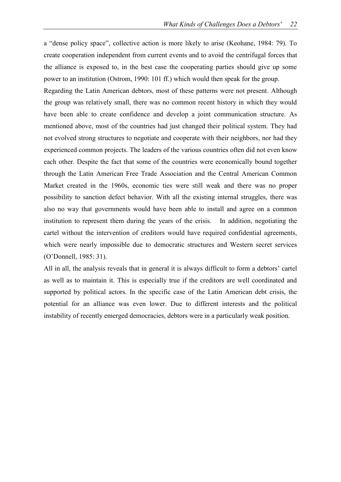a "dense policy space", collective action is more likely to arise (Keohane, 1984: 79). To create cooperation independent from current events and to avoid the centrifugal forces that the alliance is exposed to, in the best case the cooperating parties should give up some power to an institution (Ostrom, 1990: 101 ff.) which would then speak for the group.

Regarding the Latin American debtors, most of these patterns were not present. Although the group was relatively small, there was no common recent history in which they would have been able to create confidence and develop a joint communication structure. As mentioned above, most of the countries had just changed their political system. They had not evolved strong structures to negotiate and cooperate with their neighbors, nor had they experienced common projects. The leaders of the various countries often did not even know each other. Despite the fact that some of the countries were economically bound together through the Latin American Free Trade Association and the Central American Common Market created in the 1960s, economic ties were still weak and there was no proper possibility to sanction defect behavior. With all the existing internal struggles, there was also no way that governments would have been able to install and agree on a common institution to represent them during the years of the crisis. In addition, negotiating the cartel without the intervention of creditors would have required confidential agreements, which were nearly impossible due to democratic structures and Western secret services (O'Donnell, 1985: 31).

All in all, the analysis reveals that in general it is always difficult to form a debtors' cartel as well as to maintain it. This is especially true if the creditors are well coordinated and supported by political actors. In the specific case of the Latin American debt crisis, the potential for an alliance was even lower. Due to different interests and the political instability of recently emerged democracies, debtors were in a particularly weak position.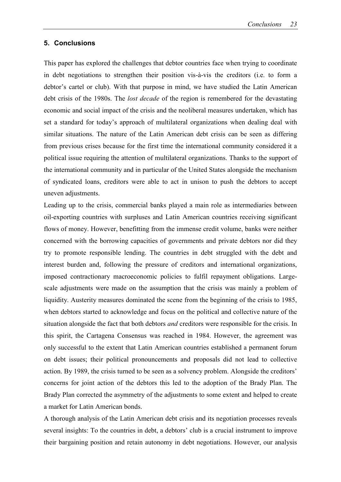#### <span id="page-24-0"></span>**5. Conclusions**

This paper has explored the challenges that debtor countries face when trying to coordinate in debt negotiations to strengthen their position vis-à-vis the creditors (i.e. to form a debtor's cartel or club). With that purpose in mind, we have studied the Latin American debt crisis of the 1980s. The *lost decade* of the region is remembered for the devastating economic and social impact of the crisis and the neoliberal measures undertaken, which has set a standard for today's approach of multilateral organizations when dealing deal with similar situations. The nature of the Latin American debt crisis can be seen as differing from previous crises because for the first time the international community considered it a political issue requiring the attention of multilateral organizations. Thanks to the support of the international community and in particular of the United States alongside the mechanism of syndicated loans, creditors were able to act in unison to push the debtors to accept uneven adjustments.

Leading up to the crisis, commercial banks played a main role as intermediaries between oil-exporting countries with surpluses and Latin American countries receiving significant flows of money. However, benefitting from the immense credit volume, banks were neither concerned with the borrowing capacities of governments and private debtors nor did they try to promote responsible lending. The countries in debt struggled with the debt and interest burden and, following the pressure of creditors and international organizations, imposed contractionary macroeconomic policies to fulfil repayment obligations. Largescale adjustments were made on the assumption that the crisis was mainly a problem of liquidity. Austerity measures dominated the scene from the beginning of the crisis to 1985, when debtors started to acknowledge and focus on the political and collective nature of the situation alongside the fact that both debtors *and* creditors were responsible for the crisis. In this spirit, the Cartagena Consensus was reached in 1984. However, the agreement was only successful to the extent that Latin American countries established a permanent forum on debt issues; their political pronouncements and proposals did not lead to collective action. By 1989, the crisis turned to be seen as a solvency problem. Alongside the creditors' concerns for joint action of the debtors this led to the adoption of the Brady Plan. The Brady Plan corrected the asymmetry of the adjustments to some extent and helped to create a market for Latin American bonds.

A thorough analysis of the Latin American debt crisis and its negotiation processes reveals several insights: To the countries in debt, a debtors' club is a crucial instrument to improve their bargaining position and retain autonomy in debt negotiations. However, our analysis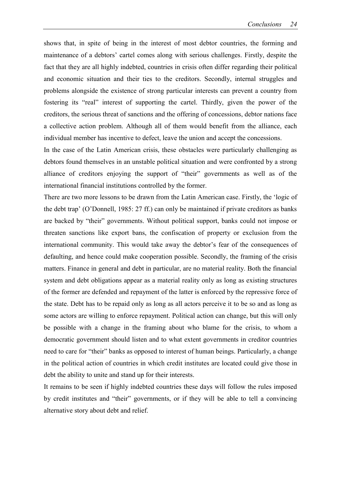shows that, in spite of being in the interest of most debtor countries, the forming and maintenance of a debtors' cartel comes along with serious challenges. Firstly, despite the fact that they are all highly indebted, countries in crisis often differ regarding their political and economic situation and their ties to the creditors. Secondly, internal struggles and problems alongside the existence of strong particular interests can prevent a country from fostering its "real" interest of supporting the cartel. Thirdly, given the power of the creditors, the serious threat of sanctions and the offering of concessions, debtor nations face a collective action problem. Although all of them would benefit from the alliance, each individual member has incentive to defect, leave the union and accept the concessions.

In the case of the Latin American crisis, these obstacles were particularly challenging as debtors found themselves in an unstable political situation and were confronted by a strong alliance of creditors enjoying the support of "their" governments as well as of the international financial institutions controlled by the former.

There are two more lessons to be drawn from the Latin American case. Firstly, the 'logic of the debt trap' (O'Donnell, 1985: 27 ff.) can only be maintained if private creditors as banks are backed by "their" governments. Without political support, banks could not impose or threaten sanctions like export bans, the confiscation of property or exclusion from the international community. This would take away the debtor's fear of the consequences of defaulting, and hence could make cooperation possible. Secondly, the framing of the crisis matters. Finance in general and debt in particular, are no material reality. Both the financial system and debt obligations appear as a material reality only as long as existing structures of the former are defended and repayment of the latter is enforced by the repressive force of the state. Debt has to be repaid only as long as all actors perceive it to be so and as long as some actors are willing to enforce repayment. Political action can change, but this will only be possible with a change in the framing about who blame for the crisis, to whom a democratic government should listen and to what extent governments in creditor countries need to care for "their" banks as opposed to interest of human beings. Particularly, a change in the political action of countries in which credit institutes are located could give those in debt the ability to unite and stand up for their interests.

It remains to be seen if highly indebted countries these days will follow the rules imposed by credit institutes and "their" governments, or if they will be able to tell a convincing alternative story about debt and relief.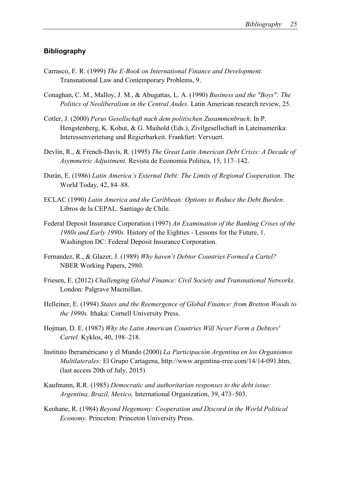### <span id="page-26-0"></span>**Bibliography**

- Carrasco, E. R. (1999) *The E-Book on International Finance and Development.* Transnational Law and Contemporary Problems, 9.
- Conaghan, C. M., Malloy, J. M., & Abugattas, L. A. (1990) *Business and the "Boys": The Politics of Neoliberalism in the Central Andes.* Latin American research review, 25.
- Cotler, J. (2000) *Perus Gesellschaft nach dem politischen Zusammenbruch*. In P. Hengstenberg, K. Kohut, & G. Maihold (Eds.), Zivilgesellschaft in Lateinamerika: Interessenvertetung und Regierbarkeit. Frankfurt: Vervuert.
- Devlin, R., & French-Davis, R. (1995) *The Great Latin American Debt Crisis: A Decade of Asymmetric Adjustment.* Revista de Economia Politica, 15, 117–142.
- Durán, E. (1986) *Latin America´s External Debt: The Limits of Regional Cooperation.* The World Today, 42, 84–88.
- ECLAC (1990) *Latin America and the Caribbean: Options to Reduce the Debt Burden.* Libros de la CEPAL. Santiago de Chile.
- Federal Deposit Insurance Corporation (1997) *An Examination of the Banking Crises of the 1980s and Early 1990s.* History of the Eighties - Lessons for the Future, 1. Washington DC: Federal Deposit Insurance Corporation.
- Fernandez, R., & Glazer, J. (1989) *Why haven´t Debtor Countries Formed a Cartel?* NBER Working Papers, 2980.
- Friesen, E. (2012) *Challenging Global Finance: Civil Society and Transnational Networks.* London: Palgrave Macmillan.
- Helleiner, E. (1994) *States and the Reemergence of Global Finance: from Bretton Woods to the 1990s.* Ithaka: Cornell University Press.
- Hojman, D. E. (1987) *Why the Latin American Countries Will Never Form a Debtors' Cartel.* Kyklos, 40, 198–218.
- Instituto Iberaméricano y el Mundo (2000) *La Participación Argentina en los Organismos Multilaterales:* El Grupo Cartagena, [http://www.argentina-rree.com/14/14-091.htm,](http://www.argentina-rree.com/14/14-091.htm) (last access 20th of July, 2015)
- Kaufmann, R.R. (1985) *Democratic and authoritarian responses to the debt issue: Argentina, Brazil, Mexico,* International Organization, 39, 473–503.
- Keohane, R. (1984) *Beyond Hegemony: Cooperation and Discord in the World Political Economy.* Princeton: Princeton University Press.